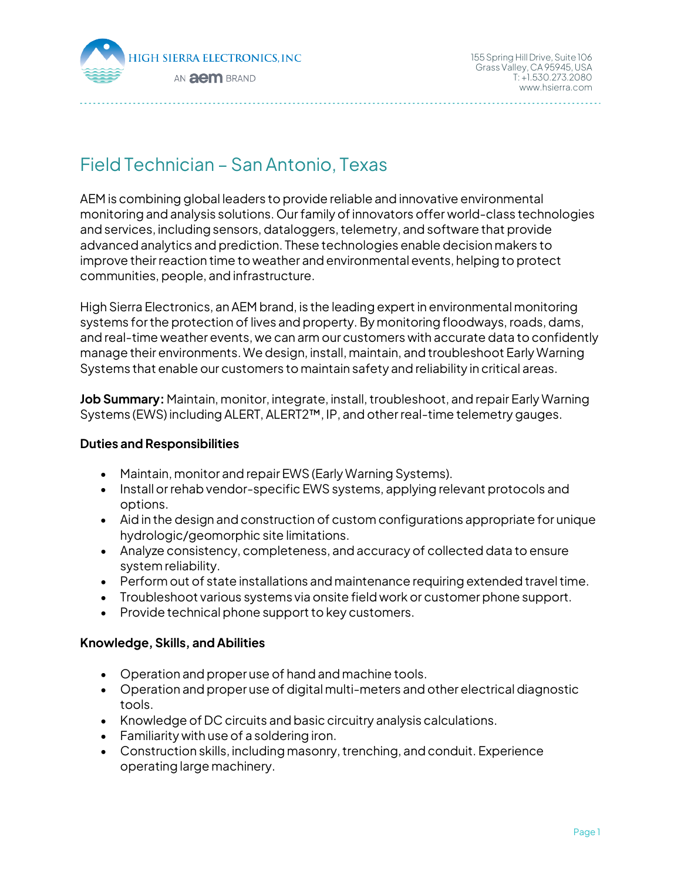

# Field Technician – San Antonio, Texas

AEM is combining global leaders to provide reliable and innovative environmental monitoring and analysis solutions. Our family of innovators offer world-class technologies and services, including sensors, dataloggers, telemetry, and software that provide advanced analytics and prediction. These technologies enable decision makers to improve their reaction time to weather and environmental events, helping to protect communities, people, and infrastructure.

High Sierra Electronics, an AEM brand, is the leading expert in environmental monitoring systems for the protection of lives and property. By monitoring floodways, roads, dams, and real-time weather events, we can arm our customers with accurate data to confidently manage their environments. We design, install, maintain, and troubleshoot Early Warning Systems that enable our customers to maintain safety and reliability in critical areas.

**Job Summary:** Maintain, monitor, integrate, install, troubleshoot, and repair Early Warning Systems (EWS) including ALERT, ALERT2™, IP, and other real-time telemetry gauges.

### **Duties and Responsibilities**

- Maintain, monitor and repair EWS (Early Warning Systems).
- Install or rehab vendor-specific EWS systems, applying relevant protocols and options.
- Aid in the design and construction of custom configurations appropriate for unique hydrologic/geomorphic site limitations.
- Analyze consistency, completeness, and accuracy of collected data to ensure system reliability.
- Perform out of state installations and maintenance requiring extended travel time.
- Troubleshoot various systems via onsite field work or customer phone support.
- Provide technical phone support to key customers.

## **Knowledge, Skills, and Abilities**

- Operation and proper use of hand and machine tools.
- Operation and proper use of digital multi-meters and other electrical diagnostic tools.
- Knowledge of DC circuits and basic circuitry analysis calculations.
- Familiarity with use of a soldering iron.
- Construction skills, including masonry, trenching, and conduit. Experience operating large machinery.